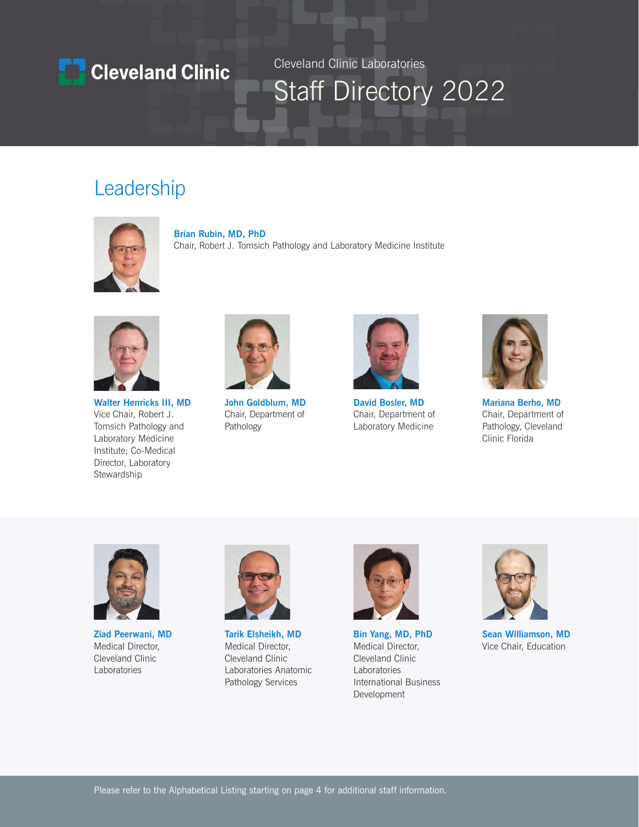

Cleveland Clinic Laboratories

# Staff Directory 2022

## Leadership



Chair, Robert J. Tomsich Pathology and Laboratory Medicine Institute



**Walter Henricks III, MD** Vice Chair, Robert J. Tomsich Pathology and Laboratory Medicine Institute; Co-Medical

Director, Laboratory Stewardship



**John Goldblum, MD**  Chair, Department of Pathology



**David Bosler, MD** Chair, Department of Laboratory Medicine



**Mariana Berho, MD** Chair, Department of Pathology, Cleveland Clinic Florida



**Ziad Peerwani, MD** Medical Director, Cleveland Clinic Laboratories



**Tarik Elsheikh, MD** Medical Director, Cleveland Clinic Laboratories Anatomic Pathology Services



**Bin Yang, MD, PhD**  Medical Director, Cleveland Clinic Laboratories International Business Development



**Sean Williamson, MD**  Vice Chair, Education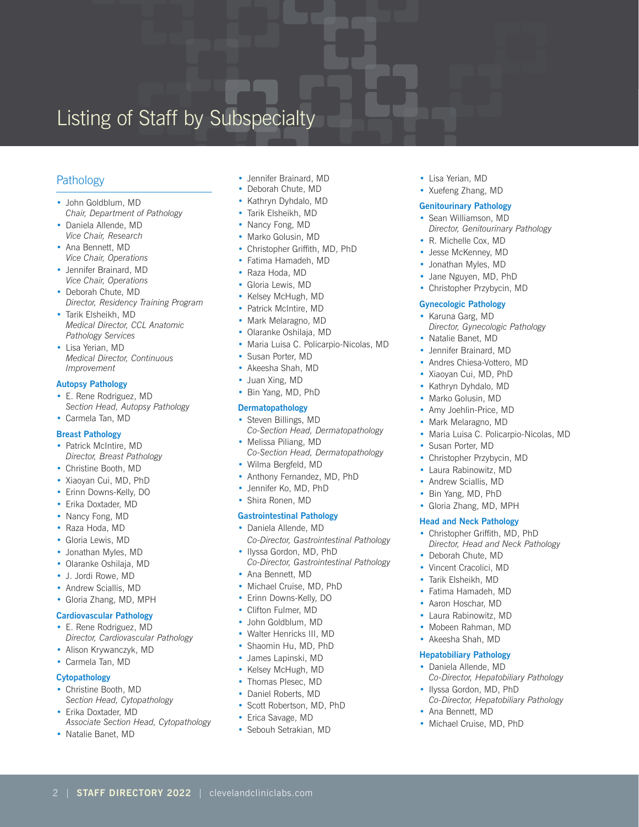## Listing of Staff by Subspecialty

## **Pathology**

- John Goldblum, MD *Chair, Department of Pathology*
- Daniela Allende, MD *Vice Chair, Research*
- Ana Bennett, MD *Vice Chair, Operations*
- Jennifer Brainard, MD *Vice Chair, Operations*
- Deborah Chute, MD *Director, Residency Training Program*
- Tarik Elsheikh, MD *Medical Director, CCL Anatomic Pathology Services*
- Lisa Yerian, MD *Medical Director, Continuous Improvement*

### **Autopsy Pathology**

- E. Rene Rodriguez, MD *Section Head, Autopsy Pathology*
- Carmela Tan, MD

## **Breast Pathology**

- Patrick McIntire, MD *Director, Breast Pathology*
- Christine Booth, MD
- Xiaoyan Cui, MD, PhD
- Erinn Downs-Kelly, DO
- Erika Doxtader, MD
- Nancy Fong, MD
- Raza Hoda, MD
- Gloria Lewis, MD
- Jonathan Myles, MD
- Olaranke Oshilaja, MD
- J. Jordi Rowe, MD
- Andrew Sciallis, MD
- Gloria Zhang, MD, MPH

### **Cardiovascular Pathology**

- E. Rene Rodriguez, MD
- *Director, Cardiovascular Pathology*  • Alison Krywanczyk, MD
- Carmela Tan, MD

## **Cytopathology**

- Christine Booth, MD *Section Head, Cytopathology*
- Erika Doxtader, MD *Associate Section Head, Cytopathology*

2 | **STAFF DIRECTORY 2022** | clevelandcliniclabs.com

• Natalie Banet, MD

- Jennifer Brainard, MD
- Deborah Chute, MD
- Kathryn Dyhdalo, MD
- Tarik Elsheikh, MD
- Nancy Fong, MD
- Marko Golusin, MD
- • Christopher Griffith, MD, PhD
- Fatima Hamadeh, MD
- Raza Hoda, MD
- Gloria Lewis, MD
- Kelsey McHugh, MD • Patrick McIntire, MD
- Mark Melaragno, MD
- Olaranke Oshilaja, MD
- Maria Luisa C. Policarpio-Nicolas, MD
- Susan Porter, MD
- Akeesha Shah, MD
- Juan Xing, MD
- Bin Yang, MD, PhD

## **Dermatopathology**

- Steven Billings, MD *Co-Section Head, Dermatopathology*
- Melissa Piliang, MD *Co-Section Head, Dermatopathology*
- Wilma Bergfeld, MD
- Anthony Fernandez, MD, PhD
- Jennifer Ko, MD, PhD
- Shira Ronen, MD

### **Gastrointestinal Pathology**

- Daniela Allende, MD *Co-Director, Gastrointestinal Pathology*
- Ilyssa Gordon, MD, PhD *Co-Director, Gastrointestinal Pathology*
- Ana Bennett, MD
- Michael Cruise, MD, PhD
- Erinn Downs-Kelly, DO
- Clifton Fulmer, MD
- John Goldblum, MD
- Walter Henricks III, MD
- Shaomin Hu, MD, PhD
- James Lapinski, MD
- Kelsey McHugh, MD
- Thomas Plesec, MD
- Daniel Roberts, MD
- Scott Robertson, MD, PhD
- Erica Savage, MD
- Sebouh Setrakian, MD
- Lisa Yerian, MD
- Xuefeng Zhang, MD

#### **Genitourinary Pathology**

- Sean Williamson, MD *Director, Genitourinary Pathology*
- R. Michelle Cox, MD
- Jesse McKenney, MD
- Jonathan Myles, MD
- Jane Nguyen, MD, PhD
- Christopher Przybycin, MD

## **Gynecologic Pathology**

- Karuna Garg, MD
	- *Director, Gynecologic Pathology*
- Natalie Banet, MD
- Jennifer Brainard, MD
- Andres Chiesa-Vottero, MD
- Xiaoyan Cui, MD, PhD
- Kathryn Dyhdalo, MD
- Marko Golusin, MD
- Amy Joehlin-Price, MD
- Mark Melaragno, MD
- Maria Luisa C. Policarpio-Nicolas, MD

*Co-Director, Hepatobiliary Pathology* 

*Co-Director, Hepatobiliary Pathology*

• Ilyssa Gordon, MD, PhD

• Ana Bennett, MD • Michael Cruise, MD, PhD

- Susan Porter, MD
- Christopher Przybycin, MD
- Laura Rabinowitz, MD • Andrew Sciallis, MD

• Bin Yang, MD, PhD • Gloria Zhang, MD, MPH **Head and Neck Pathology** • Christopher Griffith, MD, PhD *Director, Head and Neck Pathology* 

• Deborah Chute, MD • Vincent Cracolici, MD • Tarik Elsheikh, MD • Fatima Hamadeh, MD • Aaron Hoschar, MD • Laura Rabinowitz, MD • Mobeen Rahman, MD • Akeesha Shah, MD **Hepatobiliary Pathology** • Daniela Allende, MD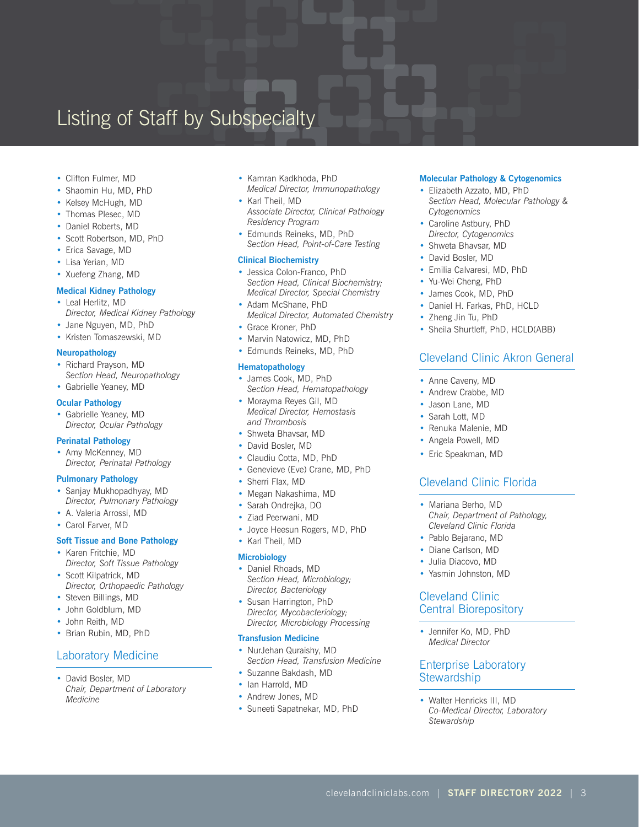## Listing of Staff by Subspecialty

- Clifton Fulmer, MD
- Shaomin Hu, MD, PhD
- Kelsey McHugh, MD
- Thomas Plesec, MD
- Daniel Roberts, MD
- Scott Robertson, MD, PhD
- Erica Savage, MD
- Lisa Yerian, MD
- Xuefeng Zhang, MD

#### **Medical Kidney Pathology**

- Leal Herlitz, MD *Director, Medical Kidney Pathology*
- Jane Nguyen, MD, PhD
- Kristen Tomaszewski, MD

### **Neuropathology**

- Richard Prayson, MD *Section Head, Neuropathology*
- Gabrielle Yeaney, MD

#### **Ocular Pathology**

• Gabrielle Yeaney, MD *Director, Ocular Pathology*

### **Perinatal Pathology**

• Amy McKenney, MD *Director, Perinatal Pathology*

### **Pulmonary Pathology**

- Sanjay Mukhopadhyay, MD *Director, Pulmonary Pathology*
- A. Valeria Arrossi, MD
- Carol Farver, MD

### **Soft Tissue and Bone Pathology**

- Karen Fritchie, MD *Director, Soft Tissue Pathology*
- Scott Kilpatrick, MD *Director, Orthopaedic Pathology*
- Steven Billings, MD
- John Goldblum, MD
- John Reith, MD
- Brian Rubin, MD, PhD

## Laboratory Medicine

• David Bosler, MD *Chair, Department of Laboratory Medicine*

- Kamran Kadkhoda, PhD
- *Medical Director, Immunopathology* • Karl Theil, MD
- *Associate Director, Clinical Pathology Residency Program*
- Edmunds Reineks, MD, PhD *Section Head, Point-of-Care Testing*

#### **Clinical Biochemistry**

- Jessica Colon-Franco, PhD *Section Head, Clinical Biochemistry; Medical Director, Special Chemistry*
- Adam McShane, PhD *Medical Director, Automated Chemistry*
- Grace Kroner, PhD
- Marvin Natowicz, MD, PhD
- Edmunds Reineks, MD, PhD

### **Hematopathology**

- James Cook, MD, PhD *Section Head, Hematopathology*
- Morayma Reyes Gil, MD *Medical Director, Hemostasis and Thrombosis*
- Shweta Bhavsar, MD
- David Bosler, MD
- Claudiu Cotta, MD, PhD
- Genevieve (Eve) Crane, MD, PhD
- Sherri Flax, MD
- Megan Nakashima, MD
- Sarah Ondrejka, DO
- Ziad Peerwani, MD
- Joyce Heesun Rogers, MD, PhD
- Karl Theil, MD

#### **Microbiology**

- Daniel Rhoads, MD *Section Head, Microbiology; Director, Bacteriology*
- Susan Harrington, PhD *Director, Mycobacteriology; Director, Microbiology Processing*

#### **Transfusion Medicine**

- NurJehan Quraishy, MD *Section Head, Transfusion Medicine*
- Suzanne Bakdash, MD
- Ian Harrold, MD
- Andrew Jones, MD
- Suneeti Sapatnekar, MD, PhD

### **Molecular Pathology & Cytogenomics**

- Elizabeth Azzato, MD, PhD *Section Head, Molecular Pathology & Cytogenomics*
- Caroline Astbury, PhD *Director, Cytogenomics*
- Shweta Bhavsar, MD
- David Bosler, MD
- Emilia Calvaresi, MD, PhD
- Yu-Wei Cheng, PhD
- James Cook, MD, PhD
- Daniel H. Farkas, PhD, HCLD
- Zheng Jin Tu, PhD
- Sheila Shurtleff, PhD, HCLD(ABB)

## Cleveland Clinic Akron General

- Anne Caveny, MD
- Andrew Crabbe, MD
- Jason Lane, MD
- Sarah Lott, MD
- Renuka Malenie, MD
- Angela Powell, MD
- Eric Speakman, MD

## Cleveland Clinic Florida

- Mariana Berho, MD *Chair, Department of Pathology, Cleveland Clinic Florida*
- Pablo Bejarano, MD
- Diane Carlson, MD
- Julia Diacovo, MD
- Yasmin Johnston, MD

## Cleveland Clinic Central Biorepository

• Jennifer Ko, MD, PhD *Medical Director*

## Enterprise Laboratory **Stewardship**

• Walter Henricks III, MD *Co-Medical Director, Laboratory Stewardship*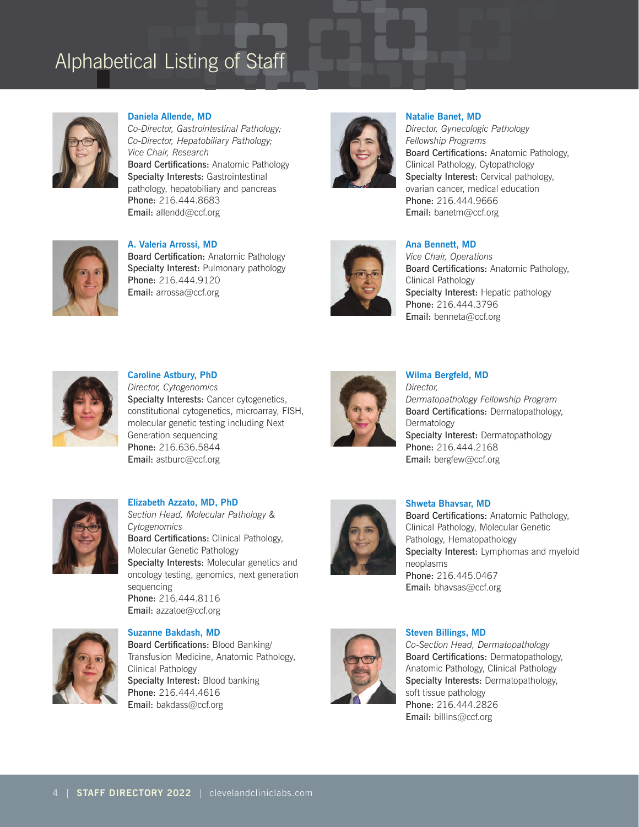

**Daniela Allende, MD**

*Co-Director, Gastrointestinal Pathology; Co-Director, Hepatobiliary Pathology; Vice Chair, Research* Board Certifications: Anatomic Pathology Specialty Interests: Gastrointestinal pathology, hepatobiliary and pancreas Phone: 216.444.8683 Email: allendd@ccf.org



**Natalie Banet, MD**

*Director, Gynecologic Pathology Fellowship Programs*  Board Certifications: Anatomic Pathology, Clinical Pathology, Cytopathology Specialty Interest: Cervical pathology, ovarian cancer, medical education Phone: 216.444.9666 Email: banetm@ccf.org



**A. Valeria Arrossi, MD** Board Certification: Anatomic Pathology Specialty Interest: Pulmonary pathology Phone: 216.444.9120 Email: arrossa@ccf.org



## **Ana Bennett, MD**

*Vice Chair, Operations*  Board Certifications: Anatomic Pathology, Clinical Pathology Specialty Interest: Hepatic pathology Phone: 216.444.3796 Email: benneta@ccf.org



**Caroline Astbury, PhD** *Director, Cytogenomics*  Specialty Interests: Cancer cytogenetics, constitutional cytogenetics, microarray, FISH, molecular genetic testing including Next Generation sequencing Phone: 216.636.5844 Email: astburc@ccf.org



## **Wilma Bergfeld, MD**  *Director, Dermatopathology Fellowship Program* Board Certifications: Dermatopathology, Dermatology Specialty Interest: Dermatopathology Phone: 216.444.2168 Email: bergfew@ccf.org



**Elizabeth Azzato, MD, PhD** *Section Head, Molecular Pathology & Cytogenomics*  Board Certifications: Clinical Pathology, Molecular Genetic Pathology Specialty Interests: Molecular genetics and oncology testing, genomics, next generation sequencing Phone: 216.444.8116 Email: azzatoe@ccf.org



### **Shweta Bhavsar, MD**

Board Certifications: Anatomic Pathology, Clinical Pathology, Molecular Genetic Pathology, Hematopathology Specialty Interest: Lymphomas and myeloid neoplasms Phone: 216.445.0467 Email: bhavsas@ccf.org



**Suzanne Bakdash, MD** Board Certifications: Blood Banking/ Transfusion Medicine, Anatomic Pathology, Clinical Pathology Specialty Interest: Blood banking Phone: 216.444.4616 Email: bakdass@ccf.org



## **Steven Billings, MD**

*Co-Section Head, Dermatopathology* Board Certifications: Dermatopathology, Anatomic Pathology, Clinical Pathology Specialty Interests: Dermatopathology, soft tissue pathology Phone: 216.444.2826 Email: billins@ccf.org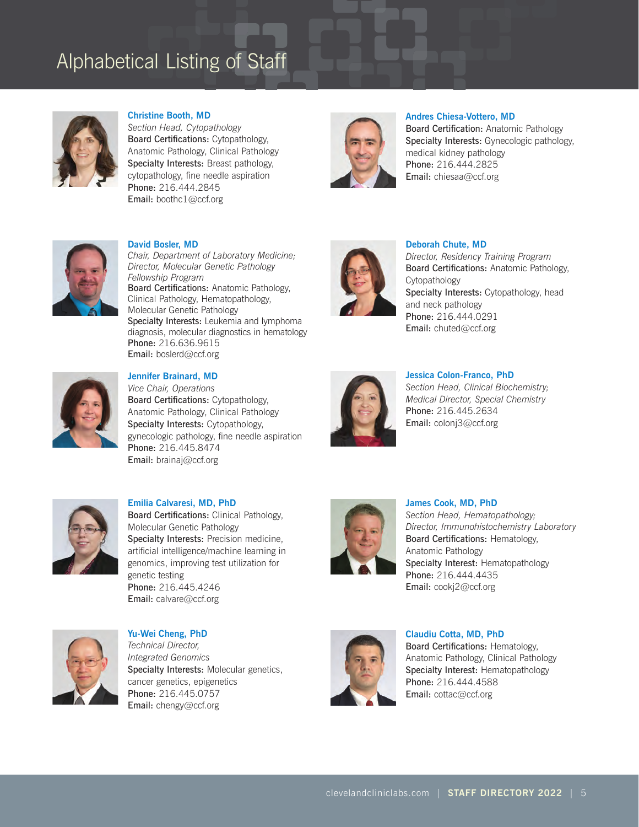

**Christine Booth, MD** 

*Section Head, Cytopathology*  Board Certifications: Cytopathology, Anatomic Pathology, Clinical Pathology Specialty Interests: Breast pathology, cytopathology, fine needle aspiration Phone: 216.444.2845 Email: boothc1@ccf.org



**Andres Chiesa-Vottero, MD** 

Board Certification: Anatomic Pathology Specialty Interests: Gynecologic pathology, medical kidney pathology Phone: 216.444.2825 Email: chiesaa@ccf.org



**David Bosler, MD**

*Chair, Department of Laboratory Medicine; Director, Molecular Genetic Pathology Fellowship Program*  Board Certifications: Anatomic Pathology, Clinical Pathology, Hematopathology, Molecular Genetic Pathology Specialty Interests: Leukemia and lymphoma diagnosis, molecular diagnostics in hematology Phone: 216.636.9615 Email: boslerd@ccf.org



## **Deborah Chute, MD**

*Director, Residency Training Program* Board Certifications: Anatomic Pathology, Cytopathology Specialty Interests: Cytopathology, head and neck pathology Phone: 216.444.0291 Email: chuted@ccf.org



## **Jennifer Brainard, MD**

*Vice Chair, Operations* Board Certifications: Cytopathology, Anatomic Pathology, Clinical Pathology Specialty Interests: Cytopathology, gynecologic pathology, fine needle aspiration Phone: 216.445.8474 Email: brainaj@ccf.org



#### **Jessica Colon-Franco, PhD**

*Section Head, Clinical Biochemistry; Medical Director, Special Chemistry* Phone: 216.445.2634 Email: colonj3@ccf.org



**Emilia Calvaresi, MD, PhD** Board Certifications: Clinical Pathology, Molecular Genetic Pathology Specialty Interests: Precision medicine, artificial intelligence/machine learning in genomics, improving test utilization for genetic testing Phone: 216.445.4246 Email: calvare@ccf.org



**James Cook, MD, PhD**  *Section Head, Hematopathology; Director, Immunohistochemistry Laboratory* Board Certifications: Hematology, Anatomic Pathology Specialty Interest: Hematopathology Phone: 216.444.4435 Email: cookj2@ccf.org



**Yu-Wei Cheng, PhD** *Technical Director, Integrated Genomics* Specialty Interests: Molecular genetics, cancer genetics, epigenetics Phone: 216.445.0757 Email: chengy@ccf.org



**Claudiu Cotta, MD, PhD** Board Certifications: Hematology, Anatomic Pathology, Clinical Pathology Specialty Interest: Hematopathology Phone: 216.444.4588 Email: cottac@ccf.org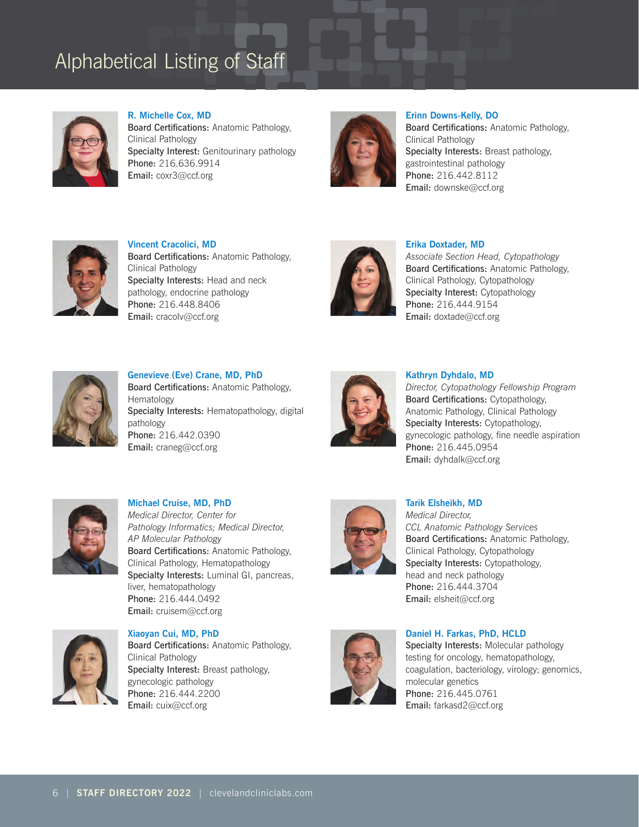

**R. Michelle Cox, MD** Board Certifications: Anatomic Pathology, Clinical Pathology Specialty Interest: Genitourinary pathology Phone: 216.636.9914 Email: coxr3@ccf.org



**Erinn Downs-Kelly, DO** Board Certifications: Anatomic Pathology, Clinical Pathology Specialty Interests: Breast pathology, gastrointestinal pathology Phone: 216.442.8112 Email: downske@ccf.org



**Vincent Cracolici, MD** Board Certifications: Anatomic Pathology, Clinical Pathology Specialty Interests: Head and neck pathology, endocrine pathology Phone: 216.448.8406 Email: cracolv@ccf.org



## **Erika Doxtader, MD**

*Associate Section Head, Cytopathology* Board Certifications: Anatomic Pathology, Clinical Pathology, Cytopathology Specialty Interest: Cytopathology Phone: 216.444.9154 Email: doxtade@ccf.org



**Genevieve (Eve) Crane, MD, PhD** Board Certifications: Anatomic Pathology, Hematology Specialty Interests: Hematopathology, digital pathology Phone: 216.442.0390 Email: craneg@ccf.org



### **Kathryn Dyhdalo, MD**

*Director, Cytopathology Fellowship Program*  Board Certifications: Cytopathology, Anatomic Pathology, Clinical Pathology Specialty Interests: Cytopathology, gynecologic pathology, fine needle aspiration Phone: 216.445.0954 Email: dyhdalk@ccf.org



**Michael Cruise, MD, PhD** *Medical Director, Center for Pathology Informatics; Medical Director, AP Molecular Pathology*  Board Certifications: Anatomic Pathology, Clinical Pathology, Hematopathology Specialty Interests: Luminal GI, pancreas, liver, hematopathology Phone: 216.444.0492 Email: cruisem@ccf.org



**Xiaoyan Cui, MD, PhD** Board Certifications: Anatomic Pathology, Clinical Pathology Specialty Interest: Breast pathology, gynecologic pathology Phone: 216.444.2200 Email: cuix@ccf.org



**Tarik Elsheikh, MD** *Medical Director, CCL Anatomic Pathology Services* Board Certifications: Anatomic Pathology, Clinical Pathology, Cytopathology Specialty Interests: Cytopathology, head and neck pathology Phone: 216.444.3704



## **Daniel H. Farkas, PhD, HCLD**

Email: elsheit@ccf.org

Specialty Interests: Molecular pathology testing for oncology, hematopathology, coagulation, bacteriology, virology; genomics, molecular genetics Phone: 216.445.0761 Email: farkasd2@ccf.org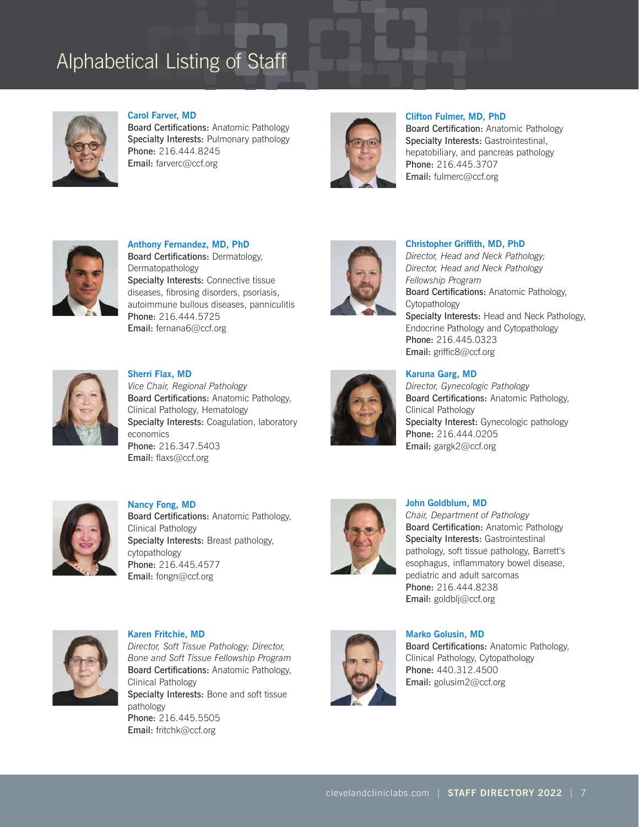

**Carol Farver, MD**  Board Certifications: Anatomic Pathology Specialty Interests: Pulmonary pathology Phone: 216.444.8245 Email: farverc@ccf.org



**Clifton Fulmer, MD, PhD** 

Board Certification: Anatomic Pathology Specialty Interests: Gastrointestinal, hepatobiliary, and pancreas pathology Phone: 216.445.3707 Email: fulmerc@ccf.org



**Anthony Fernandez, MD, PhD** Board Certifications: Dermatology, Dermatopathology Specialty Interests: Connective tissue diseases, fibrosing disorders, psoriasis, autoimmune bullous diseases, panniculitis Phone: 216.444.5725 Email: fernana6@ccf.org



*Director, Head and Neck Pathology; Director, Head and Neck Pathology Fellowship Program*

**Christopher Griffith, MD, PhD**

Board Certifications: Anatomic Pathology, Cytopathology Specialty Interests: Head and Neck Pathology, Endocrine Pathology and Cytopathology Phone: 216.445.0323 Email: griffic8@ccf.org



**Sherri Flax, MD** *Vice Chair, Regional Pathology* Board Certifications: Anatomic Pathology, Clinical Pathology, Hematology Specialty Interests: Coagulation, laboratory economics Phone: 216.347.5403 Email: flaxs@ccf.org



## **Karuna Garg, MD**

*Director, Gynecologic Pathology* Board Certifications: Anatomic Pathology, Clinical Pathology Specialty Interest: Gynecologic pathology Phone: 216.444.0205 Email: gargk2@ccf.org



**Nancy Fong, MD** Board Certifications: Anatomic Pathology, Clinical Pathology Specialty Interests: Breast pathology, cytopathology Phone: 216.445.4577 Email: fongn@ccf.org



#### **John Goldblum, MD**

*Chair, Department of Pathology* Board Certification: Anatomic Pathology Specialty Interests: Gastrointestinal pathology, soft tissue pathology, Barrett's esophagus, inflammatory bowel disease, pediatric and adult sarcomas Phone: 216.444.8238 Email: goldblj@ccf.org



**Karen Fritchie, MD** *Director, Soft Tissue Pathology; Director, Bone and Soft Tissue Fellowship Program* Board Certifications: Anatomic Pathology, Clinical Pathology Specialty Interests: Bone and soft tissue pathology Phone: 216.445.5505 Email: fritchk@ccf.org



**Marko Golusin, MD** Board Certifications: Anatomic Pathology, Clinical Pathology, Cytopathology Phone: 440.312.4500 Email: golusim2@ccf.org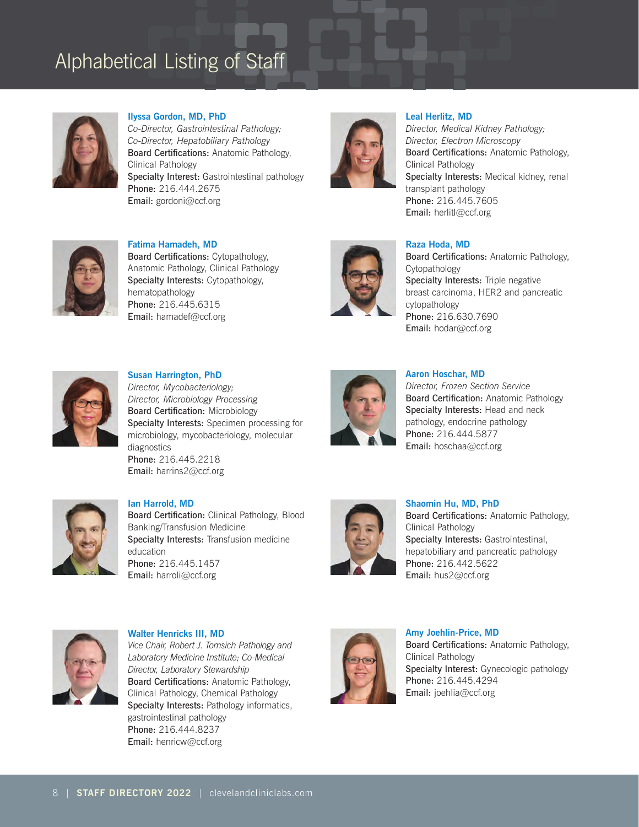

**Ilyssa Gordon, MD, PhD**

*Co-Director, Gastrointestinal Pathology; Co-Director, Hepatobiliary Pathology*  Board Certifications: Anatomic Pathology, Clinical Pathology Specialty Interest: Gastrointestinal pathology Phone: 216.444.2675 Email: gordoni@ccf.org



### **Leal Herlitz, MD**

*Director, Medical Kidney Pathology; Director, Electron Microscopy* Board Certifications: Anatomic Pathology, Clinical Pathology Specialty Interests: Medical kidney, renal transplant pathology Phone: 216.445.7605 Email: herlitl@ccf.org



**Fatima Hamadeh, MD** Board Certifications: Cytopathology, Anatomic Pathology, Clinical Pathology Specialty Interests: Cytopathology, hematopathology Phone: 216.445.6315 Email: hamadef@ccf.org



## **Raza Hoda, MD**

Board Certifications: Anatomic Pathology, Cytopathology Specialty Interests: Triple negative breast carcinoma, HER2 and pancreatic cytopathology Phone: 216.630.7690 Email: hodar@ccf.org



**Susan Harrington, PhD**  *Director, Mycobacteriology; Director, Microbiology Processing* Board Certification: Microbiology Specialty Interests: Specimen processing for microbiology, mycobacteriology, molecular diagnostics Phone: 216.445.2218 Email: harrins2@ccf.org



### **Aaron Hoschar, MD**

*Director, Frozen Section Service* Board Certification: Anatomic Pathology Specialty Interests: Head and neck pathology, endocrine pathology Phone: 216.444.5877 Email: hoschaa@ccf.org



### **Ian Harrold, MD**

Board Certification: Clinical Pathology, Blood Banking/Transfusion Medicine Specialty Interests: Transfusion medicine education Phone: 216.445.1457 Email: harroli@ccf.org



**Shaomin Hu, MD, PhD** Board Certifications: Anatomic Pathology, Clinical Pathology Specialty Interests: Gastrointestinal, hepatobiliary and pancreatic pathology Phone: 216.442.5622 Email: hus2@ccf.org



**Walter Henricks III, MD** *Vice Chair, Robert J. Tomsich Pathology and Laboratory Medicine Institute; Co-Medical Director, Laboratory Stewardship* Board Certifications: Anatomic Pathology, Clinical Pathology, Chemical Pathology Specialty Interests: Pathology informatics, gastrointestinal pathology Phone: 216.444.8237 Email: henricw@ccf.org



**Amy Joehlin-Price, MD** Board Certifications: Anatomic Pathology, Clinical Pathology Specialty Interest: Gynecologic pathology Phone: 216.445.4294 Email: joehlia@ccf.org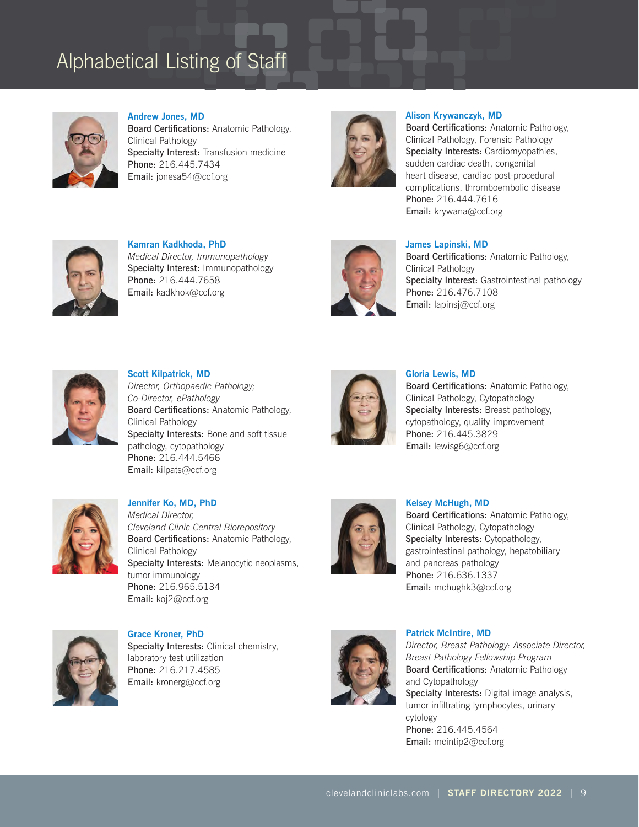

**Andrew Jones, MD** Board Certifications: Anatomic Pathology, Clinical Pathology Specialty Interest: Transfusion medicine Phone: 216.445.7434 Email: jonesa54@ccf.org



### **Alison Krywanczyk, MD**

Board Certifications: Anatomic Pathology, Clinical Pathology, Forensic Pathology Specialty Interests: Cardiomyopathies, sudden cardiac death, congenital heart disease, cardiac post-procedural complications, thromboembolic disease Phone: 216.444.7616 Email: krywana@ccf.org



**Kamran Kadkhoda, PhD** *Medical Director, Immunopathology* Specialty Interest: Immunopathology Phone: 216.444.7658 Email: kadkhok@ccf.org



## **James Lapinski, MD**

Board Certifications: Anatomic Pathology, Clinical Pathology Specialty Interest: Gastrointestinal pathology Phone: 216.476.7108 Email: lapinsj@ccf.org



**Scott Kilpatrick, MD** *Director, Orthopaedic Pathology; Co-Director, ePathology* Board Certifications: Anatomic Pathology, Clinical Pathology Specialty Interests: Bone and soft tissue pathology, cytopathology Phone: 216.444.5466 Email: kilpats@ccf.org



## **Gloria Lewis, MD**

Board Certifications: Anatomic Pathology, Clinical Pathology, Cytopathology Specialty Interests: Breast pathology, cytopathology, quality improvement Phone: 216.445.3829 Email: lewisg6@ccf.org



**Jennifer Ko, MD, PhD** *Medical Director, Cleveland Clinic Central Biorepository*  Board Certifications: Anatomic Pathology, Clinical Pathology Specialty Interests: Melanocytic neoplasms, tumor immunology Phone: 216.965.5134 Email: koj2@ccf.org



#### **Kelsey McHugh, MD**

Board Certifications: Anatomic Pathology, Clinical Pathology, Cytopathology Specialty Interests: Cytopathology, gastrointestinal pathology, hepatobiliary and pancreas pathology Phone: 216.636.1337 Email: mchughk3@ccf.org



**Grace Kroner, PhD** Specialty Interests: Clinical chemistry, laboratory test utilization Phone: 216.217.4585 Email: kronerg@ccf.org



#### **Patrick McIntire, MD**

*Director, Breast Pathology: Associate Director, Breast Pathology Fellowship Program* Board Certifications: Anatomic Pathology and Cytopathology Specialty Interests: Digital image analysis, tumor infiltrating lymphocytes, urinary cytology Phone: 216.445.4564 Email: mcintip2@ccf.org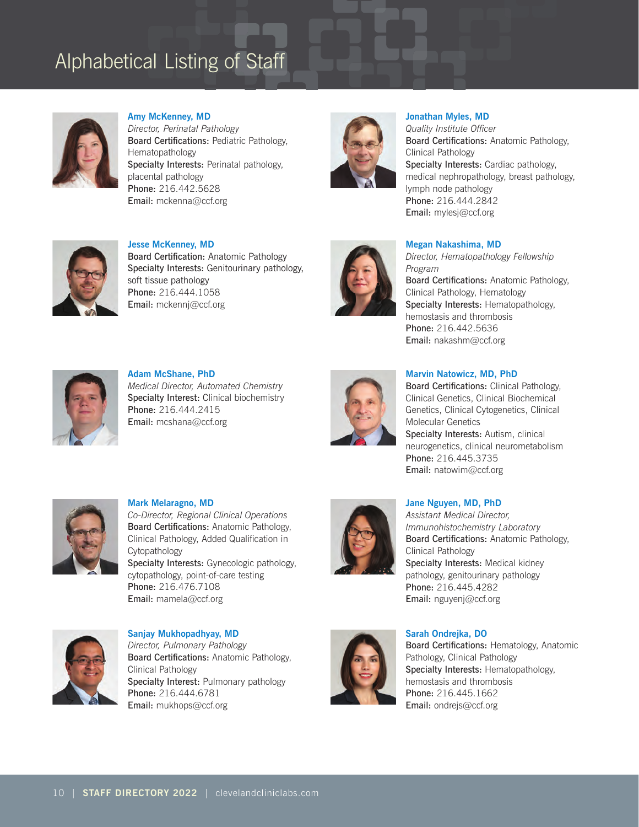

**Amy McKenney, MD** *Director, Perinatal Pathology*  Board Certifications: Pediatric Pathology, Hematopathology Specialty Interests: Perinatal pathology, placental pathology Phone: 216.442.5628 Email: mckenna@ccf.org



**Jonathan Myles, MD** 

*Quality Institute Officer* Board Certifications: Anatomic Pathology, Clinical Pathology Specialty Interests: Cardiac pathology, medical nephropathology, breast pathology, lymph node pathology Phone: 216.444.2842 Email: mylesj@ccf.org



**Jesse McKenney, MD** Board Certification: Anatomic Pathology Specialty Interests: Genitourinary pathology, soft tissue pathology Phone: 216.444.1058 Email: mckennj@ccf.org



## **Megan Nakashima, MD**

*Director, Hematopathology Fellowship Program* Board Certifications: Anatomic Pathology, Clinical Pathology, Hematology Specialty Interests: Hematopathology, hemostasis and thrombosis Phone: 216.442.5636 Email: nakashm@ccf.org



**Adam McShane, PhD** *Medical Director, Automated Chemistry* Specialty Interest: Clinical biochemistry Phone: 216.444.2415 Email: mcshana@ccf.org



## **Marvin Natowicz, MD, PhD**

Board Certifications: Clinical Pathology, Clinical Genetics, Clinical Biochemical Genetics, Clinical Cytogenetics, Clinical Molecular Genetics Specialty Interests: Autism, clinical neurogenetics, clinical neurometabolism Phone: 216.445.3735 Email: natowim@ccf.org



**Mark Melaragno, MD** *Co-Director, Regional Clinical Operations* Board Certifications: Anatomic Pathology, Clinical Pathology, Added Qualification in Cytopathology Specialty Interests: Gynecologic pathology, cytopathology, point-of-care testing Phone: 216.476.7108 Email: mamela@ccf.org



### **Jane Nguyen, MD, PhD**

*Assistant Medical Director, Immunohistochemistry Laboratory* Board Certifications: Anatomic Pathology, Clinical Pathology Specialty Interests: Medical kidney pathology, genitourinary pathology Phone: 216.445.4282 Email: nguyenj@ccf.org

**Sanjay Mukhopadhyay, MD** *Director, Pulmonary Pathology*  Board Certifications: Anatomic Pathology, Clinical Pathology Specialty Interest: Pulmonary pathology Phone: 216.444.6781 Email: mukhops@ccf.org



## **Sarah Ondrejka, DO**

Board Certifications: Hematology, Anatomic Pathology, Clinical Pathology Specialty Interests: Hematopathology, hemostasis and thrombosis Phone: 216.445.1662 Email: ondrejs@ccf.org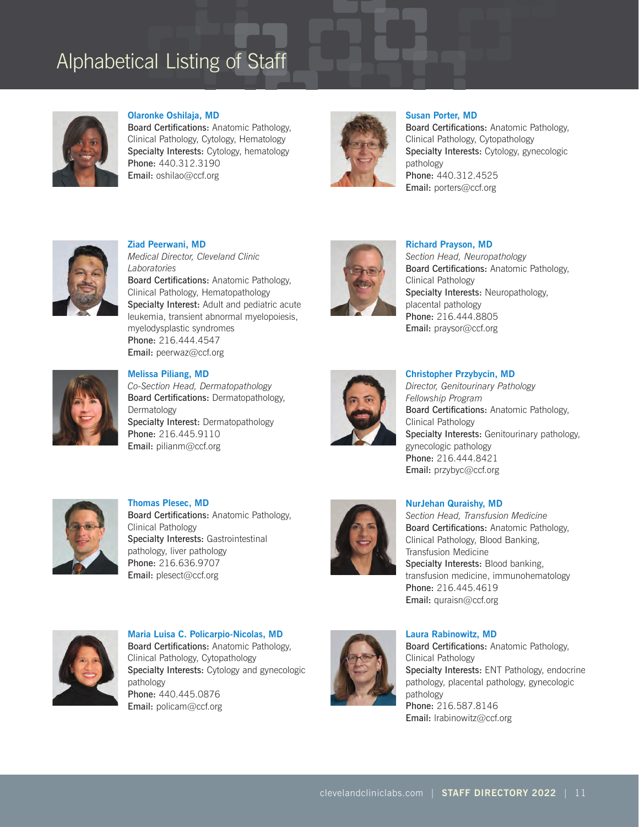

### **Olaronke Oshilaja, MD**

Board Certifications: Anatomic Pathology, Clinical Pathology, Cytology, Hematology Specialty Interests: Cytology, hematology Phone: 440.312.3190 Email: oshilao@ccf.org



### **Susan Porter, MD**

Board Certifications: Anatomic Pathology, Clinical Pathology, Cytopathology Specialty Interests: Cytology, gynecologic pathology Phone: 440.312.4525 Email: porters@ccf.org



**Ziad Peerwani, MD** *Medical Director, Cleveland Clinic Laboratories* Board Certifications: Anatomic Pathology, Clinical Pathology, Hematopathology Specialty Interest: Adult and pediatric acute leukemia, transient abnormal myelopoiesis, myelodysplastic syndromes Phone: 216.444.4547 Email: peerwaz@ccf.org



### **Richard Prayson, MD**

*Section Head, Neuropathology* Board Certifications: Anatomic Pathology, Clinical Pathology Specialty Interests: Neuropathology, placental pathology Phone: 216.444.8805 Email: praysor@ccf.org



**Melissa Piliang, MD** 

*Co-Section Head, Dermatopathology* Board Certifications: Dermatopathology, Dermatology Specialty Interest: Dermatopathology Phone: 216.445.9110 Email: pilianm@ccf.org



#### **Christopher Przybycin, MD**

*Director, Genitourinary Pathology Fellowship Program* Board Certifications: Anatomic Pathology, Clinical Pathology Specialty Interests: Genitourinary pathology, gynecologic pathology Phone: 216.444.8421 Email: przybyc@ccf.org



**Thomas Plesec, MD** Board Certifications: Anatomic Pathology, Clinical Pathology Specialty Interests: Gastrointestinal pathology, liver pathology Phone: 216.636.9707 Email: plesect@ccf.org



### **NurJehan Quraishy, MD**

*Section Head, Transfusion Medicine* Board Certifications: Anatomic Pathology, Clinical Pathology, Blood Banking, Transfusion Medicine Specialty Interests: Blood banking, transfusion medicine, immunohematology Phone: 216.445.4619 Email: quraisn@ccf.org



**Maria Luisa C. Policarpio-Nicolas, MD** Board Certifications: Anatomic Pathology, Clinical Pathology, Cytopathology Specialty Interests: Cytology and gynecologic pathology Phone: 440.445.0876 Email: policam@ccf.org



### **Laura Rabinowitz, MD**

Board Certifications: Anatomic Pathology, Clinical Pathology Specialty Interests: ENT Pathology, endocrine pathology, placental pathology, gynecologic pathology Phone: 216.587.8146 Email: Irabinowitz@ccf.org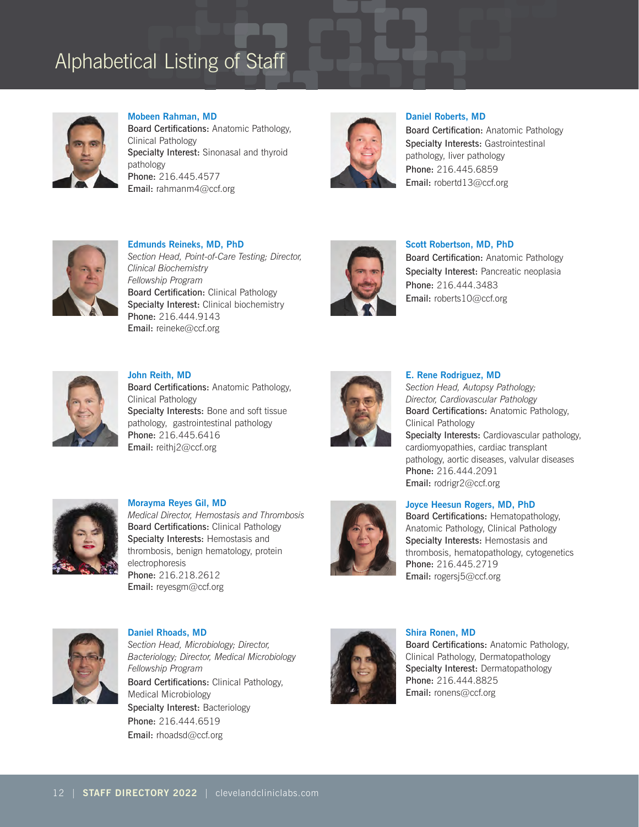

**Mobeen Rahman, MD** Board Certifications: Anatomic Pathology, Clinical Pathology Specialty Interest: Sinonasal and thyroid pathology Phone: 216.445.4577 Email: rahmanm4@ccf.org



**Daniel Roberts, MD** Board Certification: Anatomic Pathology Specialty Interests: Gastrointestinal pathology, liver pathology Phone: 216.445.6859 Email: robertd13@ccf.org



**Edmunds Reineks, MD, PhD** *Section Head, Point-of-Care Testing; Director, Clinical Biochemistry Fellowship Program* Board Certification: Clinical Pathology Specialty Interest: Clinical biochemistry Phone: 216.444.9143 Email: reineke@ccf.org



**Scott Robertson, MD, PhD**

Board Certification: Anatomic Pathology Specialty Interest: Pancreatic neoplasia Phone: 216.444.3483 Email: roberts10@ccf.org



**John Reith, MD** Board Certifications: Anatomic Pathology, Clinical Pathology Specialty Interests: Bone and soft tissue pathology, gastrointestinal pathology Phone: 216.445.6416 Email: reithj2@ccf.org



**E. Rene Rodriguez, MD** *Section Head, Autopsy Pathology;*

*Director, Cardiovascular Pathology* Board Certifications: Anatomic Pathology, Clinical Pathology Specialty Interests: Cardiovascular pathology, cardiomyopathies, cardiac transplant pathology, aortic diseases, valvular diseases Phone: 216.444.2091 Email: rodrigr2@ccf.org



**Morayma Reyes Gil, MD** *Medical Director, Hemostasis and Thrombosis* Board Certifications: Clinical Pathology Specialty Interests: Hemostasis and thrombosis, benign hematology, protein electrophoresis Phone: 216.218.2612 Email: reyesgm@ccf.org



## **Joyce Heesun Rogers, MD, PhD**

Board Certifications: Hematopathology, Anatomic Pathology, Clinical Pathology Specialty Interests: Hemostasis and thrombosis, hematopathology, cytogenetics Phone: 216.445.2719 Email: rogersj5@ccf.org



**Daniel Rhoads, MD** *Section Head, Microbiology; Director, Bacteriology; Director, Medical Microbiology Fellowship Program* Board Certifications: Clinical Pathology, Medical Microbiology Specialty Interest: Bacteriology Phone: 216.444.6519 Email: rhoadsd@ccf.org



**Shira Ronen, MD** Board Certifications: Anatomic Pathology, Clinical Pathology, Dermatopathology Specialty Interest: Dermatopathology Phone: 216.444.8825 Email: ronens@ccf.org

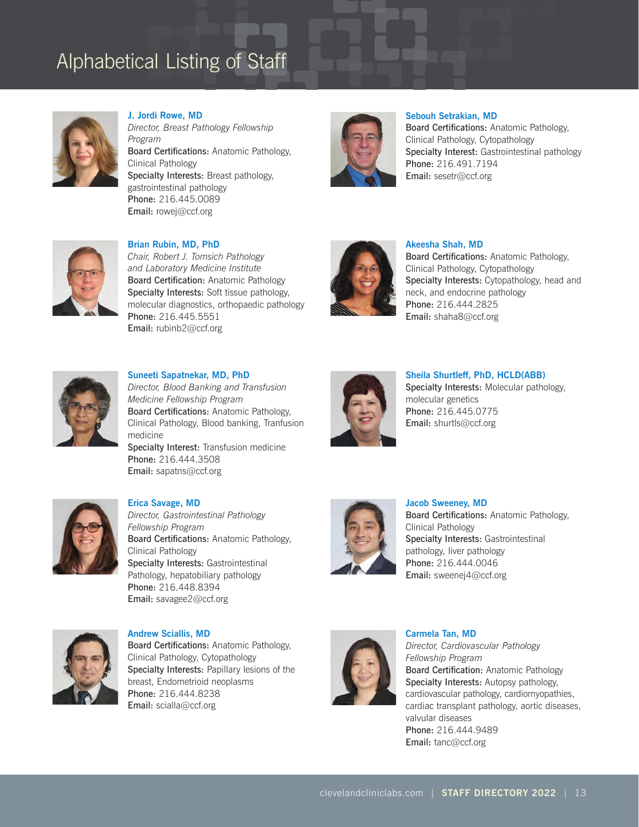

**J. Jordi Rowe, MD**  *Director, Breast Pathology Fellowship Program*  Board Certifications: Anatomic Pathology, Clinical Pathology Specialty Interests: Breast pathology, gastrointestinal pathology Phone: 216.445.0089 Email: rowej@ccf.org



**Sebouh Setrakian, MD**

Board Certifications: Anatomic Pathology, Clinical Pathology, Cytopathology Specialty Interest: Gastrointestinal pathology Phone: 216.491.7194 Email: sesetr@ccf.org



**Brian Rubin, MD, PhD**  *Chair, Robert J. Tomsich Pathology and Laboratory Medicine Institute* Board Certification: Anatomic Pathology Specialty Interests: Soft tissue pathology, molecular diagnostics, orthopaedic pathology Phone: 216.445.5551 Email: rubinb2@ccf.org



## **Akeesha Shah, MD**

Board Certifications: Anatomic Pathology, Clinical Pathology, Cytopathology Specialty Interests: Cytopathology, head and neck, and endocrine pathology Phone: 216.444.2825 Email: shaha8@ccf.org



**Suneeti Sapatnekar, MD, PhD**

Email: sapatns@ccf.org

*Director, Blood Banking and Transfusion Medicine Fellowship Program* Board Certifications: Anatomic Pathology, Clinical Pathology, Blood banking, Tranfusion medicine Specialty Interest: Transfusion medicine Phone: 216.444.3508



**Sheila Shurtleff, PhD, HCLD(ABB)**

Specialty Interests: Molecular pathology, molecular genetics Phone: 216.445.0775 Email: shurtls@ccf.org



**Erica Savage, MD** *Director, Gastrointestinal Pathology Fellowship Program* Board Certifications: Anatomic Pathology, Clinical Pathology Specialty Interests: Gastrointestinal Pathology, hepatobiliary pathology Phone: 216.448.8394 Email: savagee2@ccf.org



**Jacob Sweeney, MD** Board Certifications: Anatomic Pathology, Clinical Pathology Specialty Interests: Gastrointestinal pathology, liver pathology Phone: 216.444.0046 Email: sweenej4@ccf.org



**Andrew Sciallis, MD** Board Certifications: Anatomic Pathology, Clinical Pathology, Cytopathology Specialty Interests: Papillary lesions of the breast, Endometrioid neoplasms Phone: 216.444.8238 Email: scialla@ccf.org



**Carmela Tan, MD** *Director, Cardiovascular Pathology Fellowship Program* Board Certification: Anatomic Pathology Specialty Interests: Autopsy pathology, cardiovascular pathology, cardiomyopathies, cardiac transplant pathology, aortic diseases, valvular diseases Phone: 216.444.9489 Email: tanc@ccf.org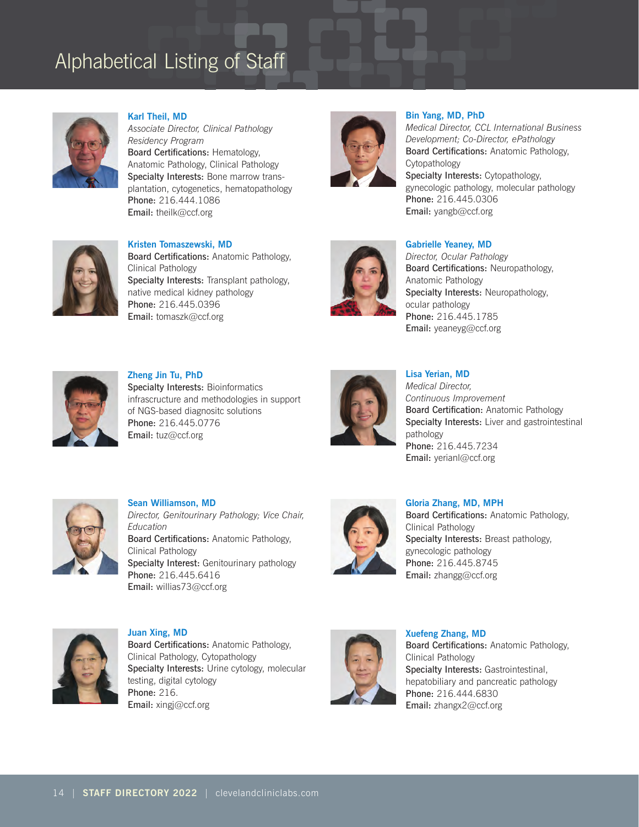

**Karl Theil, MD**  *Associate Director, Clinical Pathology Residency Program* Board Certifications: Hematology, Anatomic Pathology, Clinical Pathology Specialty Interests: Bone marrow transplantation, cytogenetics, hematopathology Phone: 216.444.1086 Email: theilk@ccf.org



## **Bin Yang, MD, PhD**

*Medical Director, CCL International Business Development; Co-Director, ePathology* Board Certifications: Anatomic Pathology, **Cytopathology** Specialty Interests: Cytopathology, gynecologic pathology, molecular pathology Phone: 216.445.0306 Email: yangb@ccf.org



**Kristen Tomaszewski, MD**  Board Certifications: Anatomic Pathology, Clinical Pathology Specialty Interests: Transplant pathology, native medical kidney pathology Phone: 216.445.0396 Email: tomaszk@ccf.org



### **Gabrielle Yeaney, MD**

*Director, Ocular Pathology* Board Certifications: Neuropathology, Anatomic Pathology Specialty Interests: Neuropathology, ocular pathology Phone: 216.445.1785 Email: yeaneyg@ccf.org



**Zheng Jin Tu, PhD** Specialty Interests: Bioinformatics infrascructure and methodologies in support of NGS-based diagnositc solutions Phone: 216.445.0776 Email: tuz@ccf.org



## **Lisa Yerian, MD**  *Medical Director, Continuous Improvement*  Board Certification: Anatomic Pathology Specialty Interests: Liver and gastrointestinal pathology Phone: 216.445.7234

Email: yerianl@ccf.org



**Sean Williamson, MD** *Director, Genitourinary Pathology; Vice Chair, Education* Board Certifications: Anatomic Pathology, Clinical Pathology Specialty Interest: Genitourinary pathology Phone: 216.445.6416 Email: willias73@ccf.org



**Gloria Zhang, MD, MPH** Board Certifications: Anatomic Pathology, Clinical Pathology Specialty Interests: Breast pathology, gynecologic pathology Phone: 216.445.8745 Email: zhangg@ccf.org



**Juan Xing, MD**  Board Certifications: Anatomic Pathology, Clinical Pathology, Cytopathology Specialty Interests: Urine cytology, molecular testing, digital cytology Phone: 216. Email: xingj@ccf.org



**Xuefeng Zhang, MD** Board Certifications: Anatomic Pathology, Clinical Pathology Specialty Interests: Gastrointestinal, hepatobiliary and pancreatic pathology Phone: 216.444.6830 Email: zhangx2@ccf.org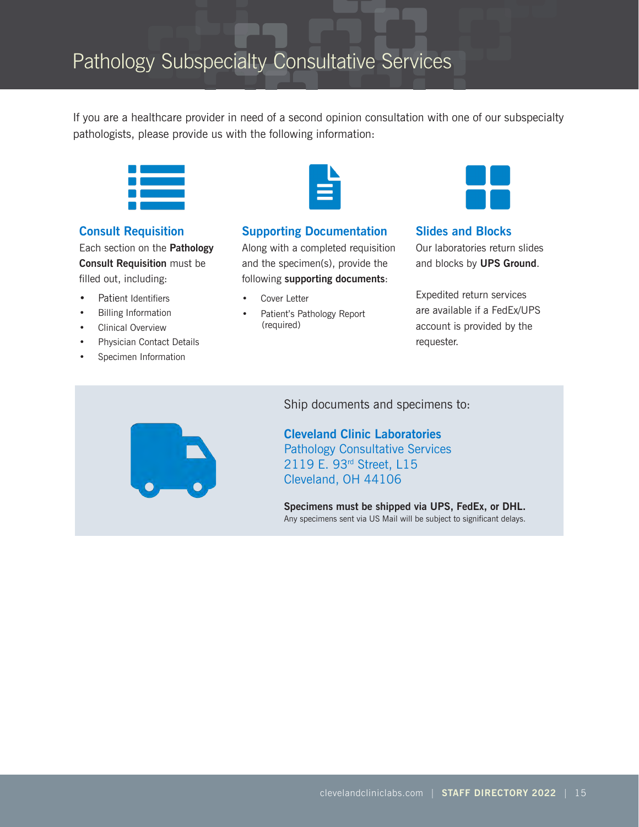If you are a healthcare provider in need of a second opinion consultation with one of our subspecialty pathologists, please provide us with the following information:



## **Consult Requisition**

Each section on the **Pathology Consult Requisition** must be filled out, including:

- Patient Identifiers
- Billing Information
- Clinical Overview
- Physician Contact Details
- Specimen Information



## **Supporting Documentation**

Along with a completed requisition and the specimen(s), provide the following **supporting documents**:

- Cover Letter
- Patient's Pathology Report (required)



## **Slides and Blocks** Our laboratories return slides and blocks by **UPS Ground**.

Expedited return services are available if a FedEx/UPS account is provided by the requester.



Ship documents and specimens to:

**Cleveland Clinic Laboratories** Pathology Consultative Services 2119 E. 93rd Street, L15 Cleveland, OH 44106

**Specimens must be shipped via UPS, FedEx, or DHL.** Any specimens sent via US Mail will be subject to significant delays.